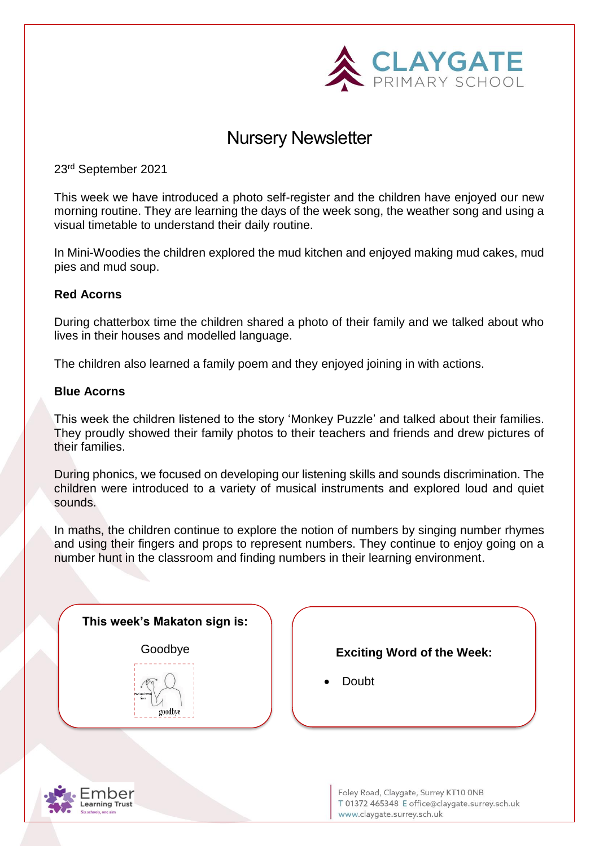

## Nursery Newsletter

23rd September 2021

This week we have introduced a photo self-register and the children have enjoyed our new morning routine. They are learning the days of the week song, the weather song and using a visual timetable to understand their daily routine.

In Mini-Woodies the children explored the mud kitchen and enjoyed making mud cakes, mud pies and mud soup.

## **Red Acorns**

During chatterbox time the children shared a photo of their family and we talked about who lives in their houses and modelled language.

The children also learned a family poem and they enjoyed joining in with actions.

## **Blue Acorns**

**Learning Trust** 

This week the children listened to the story 'Monkey Puzzle' and talked about their families. They proudly showed their family photos to their teachers and friends and drew pictures of their families.

During phonics, we focused on developing our listening skills and sounds discrimination. The children were introduced to a variety of musical instruments and explored loud and quiet sounds.

In maths, the children continue to explore the notion of numbers by singing number rhymes and using their fingers and props to represent numbers. They continue to enjoy going on a number hunt in the classroom and finding numbers in their learning environment.

| This week's Makaton sign is:          |                                       |
|---------------------------------------|---------------------------------------|
| Goodbye                               | <b>Exciting Word of the Week:</b>     |
| trate light cover<br>tines<br>goodbye | Doubt<br>$\bullet$                    |
|                                       |                                       |
| <b>Ember</b>                          | Foley Road, Claygate, Surrey KT10 ONB |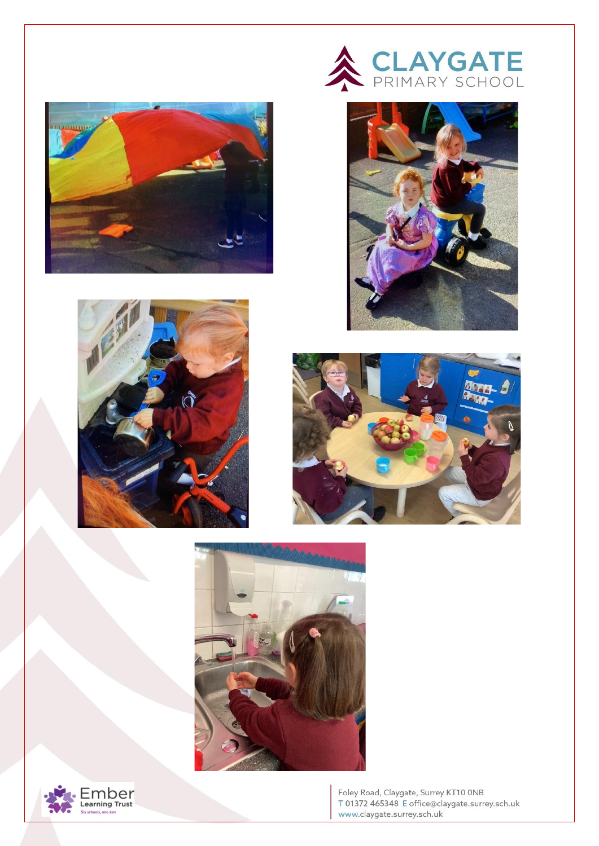













Foley Road, Claygate, Surrey KT10 ONB T 01372 465348 E office@claygate.surrey.sch.uk www.claygate.surrey.sch.uk